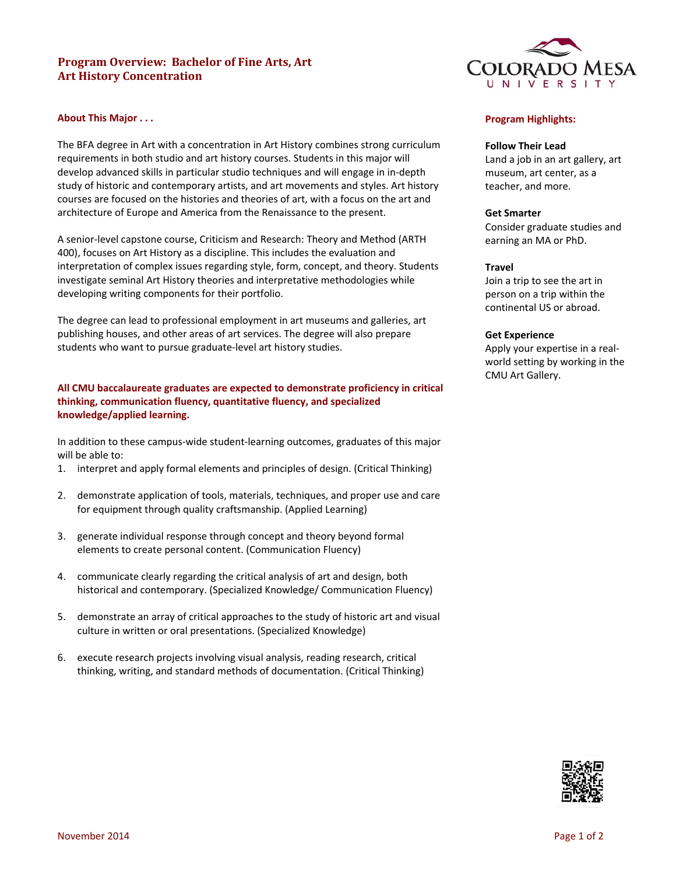# **Program Overview: Bachelor of Fine Arts, Art Art History Concentration**



The BFA degree in Art with a concentration in Art History combines strong curriculum requirements in both studio and art history courses. Students in this major will develop advanced skills in particular studio techniques and will engage in in‐depth study of historic and contemporary artists, and art movements and styles. Art history courses are focused on the histories and theories of art, with a focus on the art and architecture of Europe and America from the Renaissance to the present.

A senior‐level capstone course, Criticism and Research: Theory and Method (ARTH 400), focuses on Art History as a discipline. This includes the evaluation and interpretation of complex issues regarding style, form, concept, and theory. Students investigate seminal Art History theories and interpretative methodologies while developing writing components for their portfolio.

The degree can lead to professional employment in art museums and galleries, art publishing houses, and other areas of art services. The degree will also prepare students who want to pursue graduate‐level art history studies.

## **All CMU baccalaureate graduates are expected to demonstrate proficiency in critical thinking, communication fluency, quantitative fluency, and specialized knowledge/applied learning.**

In addition to these campus‐wide student‐learning outcomes, graduates of this major will be able to:

- 1. interpret and apply formal elements and principles of design. (Critical Thinking)
- 2. demonstrate application of tools, materials, techniques, and proper use and care for equipment through quality craftsmanship. (Applied Learning)
- 3. generate individual response through concept and theory beyond formal elements to create personal content. (Communication Fluency)
- 4. communicate clearly regarding the critical analysis of art and design, both historical and contemporary. (Specialized Knowledge/ Communication Fluency)
- 5. demonstrate an array of critical approaches to the study of historic art and visual culture in written or oral presentations. (Specialized Knowledge)
- 6. execute research projects involving visual analysis, reading research, critical thinking, writing, and standard methods of documentation. (Critical Thinking)



## **Program Highlights:**

#### **Follow Their Lead**

Land a job in an art gallery, art museum, art center, as a teacher, and more.

#### **Get Smarter**

Consider graduate studies and earning an MA or PhD.

### **Travel**

Join a trip to see the art in person on a trip within the continental US or abroad.

#### **Get Experience**

Apply your expertise in a real‐ world setting by working in the CMU Art Gallery.